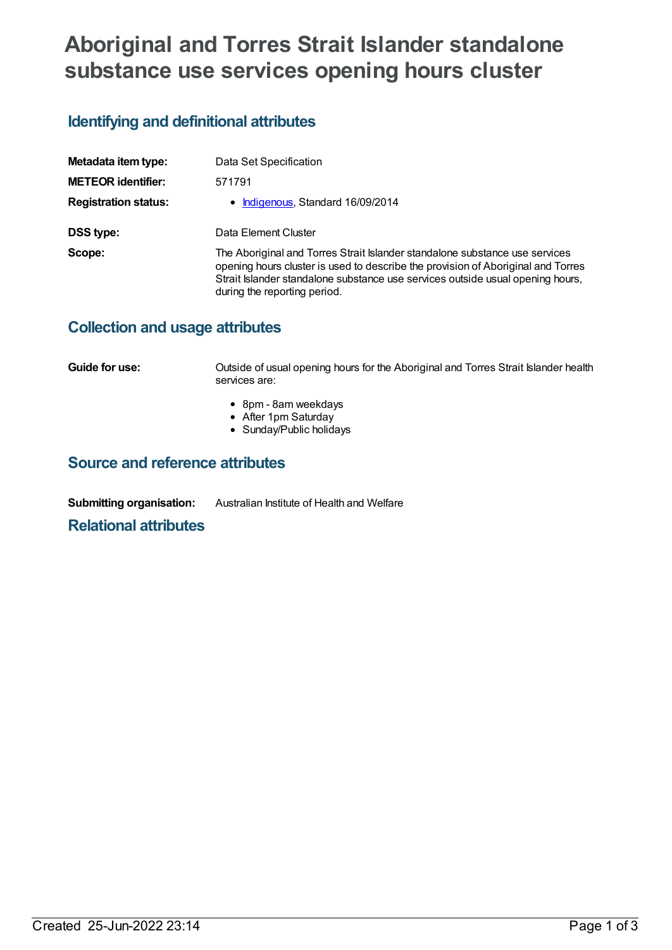# **Aboriginal and Torres Strait Islander standalone substance use services opening hours cluster**

## **Identifying and definitional attributes**

| Metadata item type:         | Data Set Specification                                                                                                                                                                                                                                                            |
|-----------------------------|-----------------------------------------------------------------------------------------------------------------------------------------------------------------------------------------------------------------------------------------------------------------------------------|
| <b>METEOR identifier:</b>   | 571791                                                                                                                                                                                                                                                                            |
| <b>Registration status:</b> | • Indigenous, Standard 16/09/2014                                                                                                                                                                                                                                                 |
| DSS type:                   | Data Element Cluster                                                                                                                                                                                                                                                              |
| Scope:                      | The Aboriginal and Torres Strait Islander standalone substance use services<br>opening hours cluster is used to describe the provision of Aboriginal and Torres<br>Strait Islander standalone substance use services outside usual opening hours,<br>during the reporting period. |

### **Collection and usage attributes**

**Guide for use: Cultside of usual opening hours for the Aboriginal and Torres Strait Islander health** services are:

- 8pm 8am weekdays
- After 1pm Saturday
- Sunday/Public holidays

### **Source and reference attributes**

**Submitting organisation:** Australian Institute of Health and Welfare

#### **Relational attributes**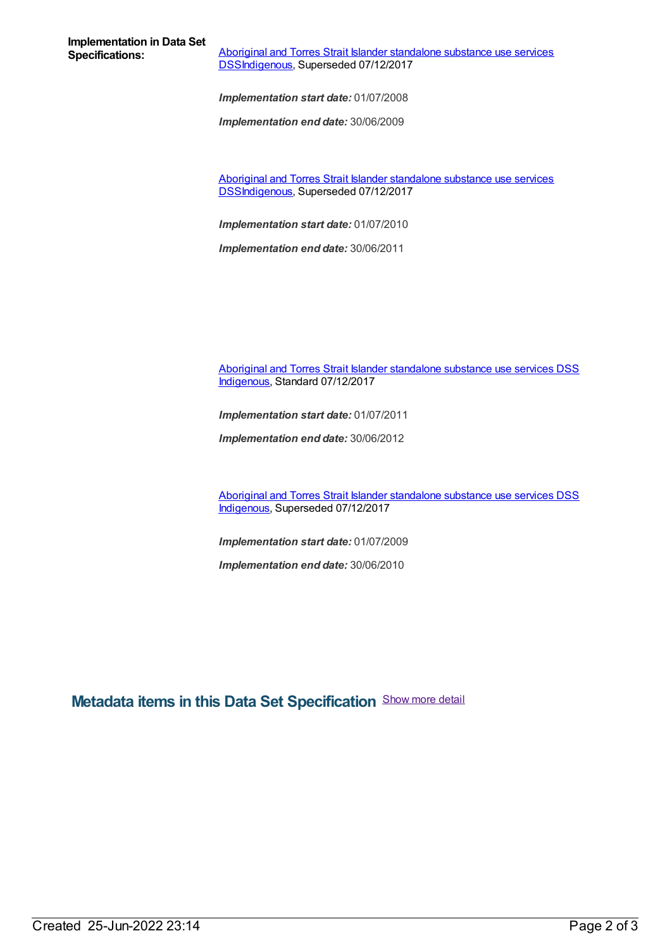**Implementation in Data Set**

**Aboriginal and Torres Strait Islander standalone substance use services** [DSSIndigenous,](https://meteor.aihw.gov.au/content/664760) Superseded 07/12/2017

*Implementation start date:* 01/07/2008

*Implementation end date:* 30/06/2009

Aboriginal and Torres Strait Islander standalone substance use services [DSSIndigenous,](https://meteor.aihw.gov.au/content/561172) Superseded 07/12/2017

*Implementation start date:* 01/07/2010

*Implementation end date:* 30/06/2011

Aboriginal and Torres Strait Islander [standalone](https://meteor.aihw.gov.au/content/664879) substance use services DSS [Indigenous](https://meteor.aihw.gov.au/RegistrationAuthority/6), Standard 07/12/2017

*Implementation start date:* 01/07/2011

*Implementation end date:* 30/06/2012

Aboriginal and Torres Strait Islander [standalone](https://meteor.aihw.gov.au/content/664861) substance use services DSS [Indigenous](https://meteor.aihw.gov.au/RegistrationAuthority/6), Superseded 07/12/2017

*Implementation start date:* 01/07/2009

*Implementation end date:* 30/06/2010

**Metadata items in this Data Set Specification** Show more detail